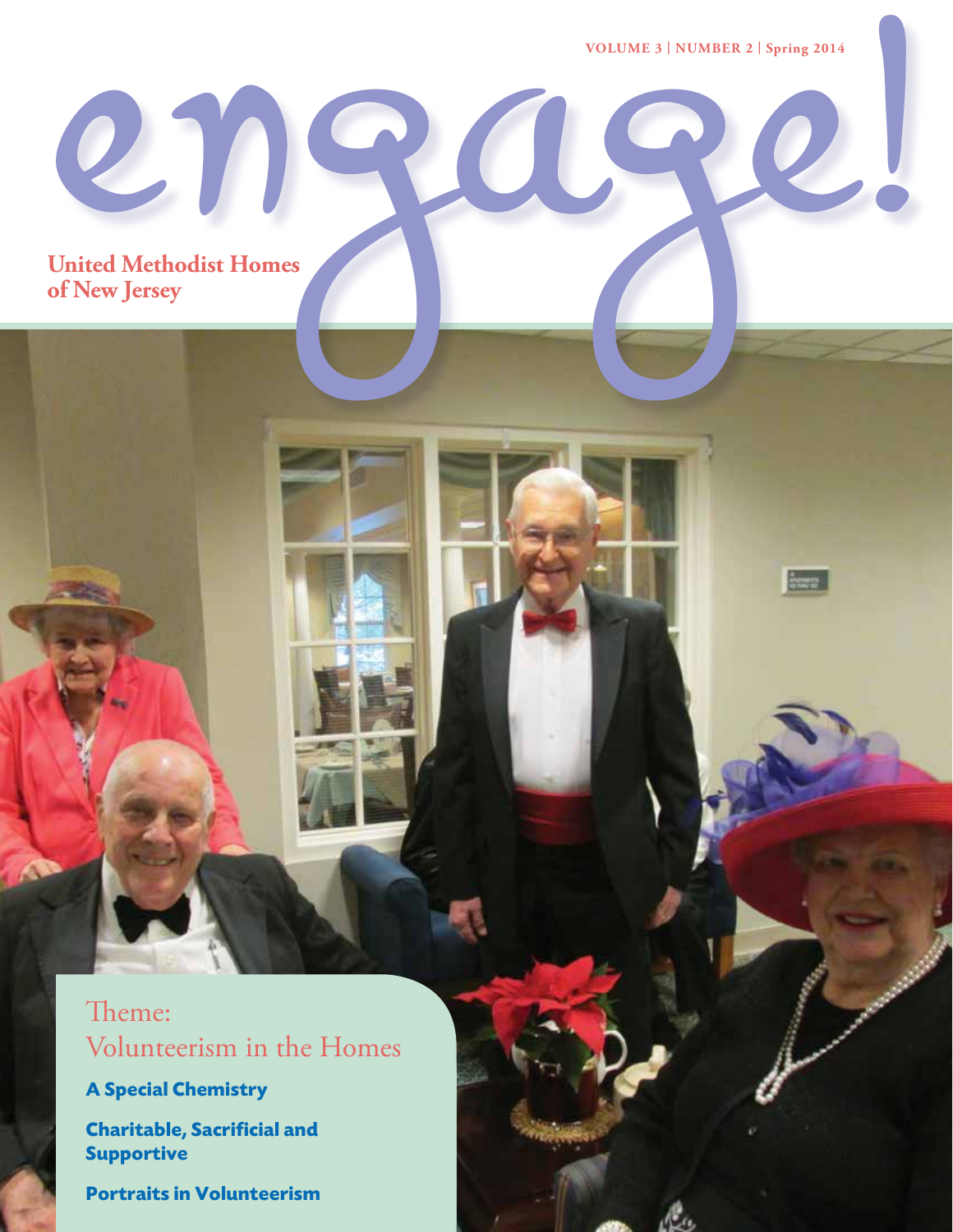**VOLUME 3 | NUMBER 2 | Spring 2014**

**Burne** 

# **United Methodist Homes** VOLUME 3 | NUMBER 2 | Spring 2014<br>United Methodist Homes<br>Of New Jersey

## Theme: Volunteerism in the Homes

**A Special Chemistry** 

**Charitable, Sacrificial and Supportive**

**Portraits in Volunteerism**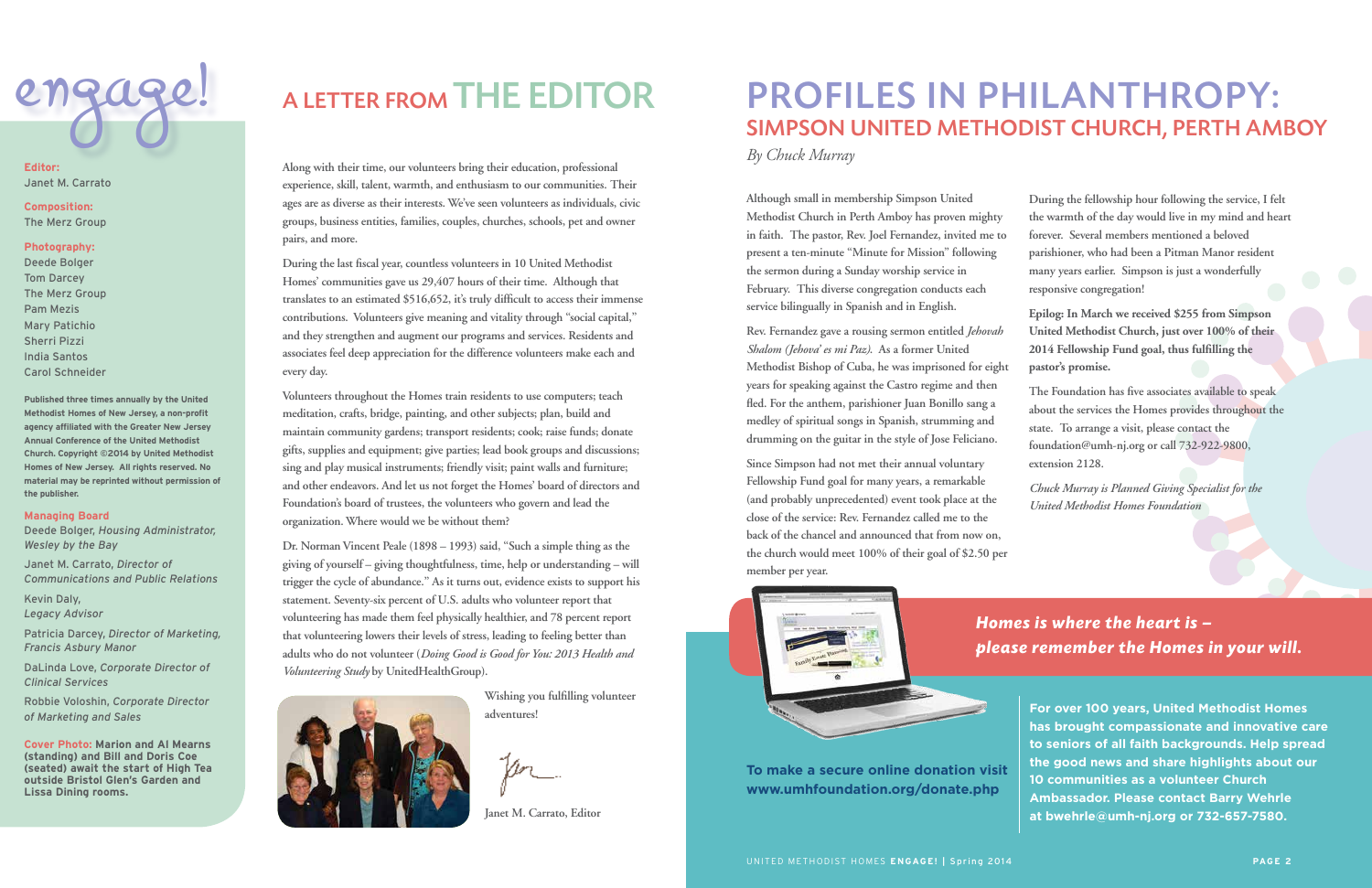**Along with their time, our volunteers bring their education, professional experience, skill, talent, warmth, and enthusiasm to our communities. Their ages are as diverse as their interests. We've seen volunteers as individuals, civic groups, business entities, families, couples, churches, schools, pet and owner pairs, and more.**

**During the last fiscal year, countless volunteers in 10 United Methodist Homes' communities gave us 29,407 hours of their time. Although that translates to an estimated \$516,652, it's truly difficult to access their immense contributions. Volunteers give meaning and vitality through "social capital," and they strengthen and augment our programs and services. Residents and associates feel deep appreciation for the difference volunteers make each and every day.**

**Volunteers throughout the Homes train residents to use computers; teach meditation, crafts, bridge, painting, and other subjects; plan, build and maintain community gardens; transport residents; cook; raise funds; donate gifts, supplies and equipment; give parties; lead book groups and discussions; sing and play musical instruments; friendly visit; paint walls and furniture; and other endeavors. And let us not forget the Homes' board of directors and Foundation's board of trustees, the volunteers who govern and lead the organization. Where would we be without them?**

**Dr. Norman Vincent Peale (1898 – 1993) said, "Such a simple thing as the giving of yourself – giving thoughtfulness, time, help or understanding – will trigger the cycle of abundance." As it turns out, evidence exists to support his statement. Seventy-six percent of U.S. adults who volunteer report that volunteering has made them feel physically healthier, and 78 percent report that volunteering lowers their levels of stress, leading to feeling better than adults who do not volunteer (***Doing Good is Good for You: 2013 Health and Volunteering Study* **by UnitedHealthGroup).**



**Wishing you fulfilling volunteer adventures!**

**Janet M. Carrato, Editor**

# A LETTER FROM THE EDITOR

**Editor:** Janet M. Carrato

**Composition:** The Merz Group

#### **Photography:**

Deede Bolger Tom Darcey The Merz Group Pam Mezis Mary Patichio Sherri Pizzi India Santos Carol Schneider

**Published three times annually by the United Methodist Homes of New Jersey, a non-profit agency affiliated with the Greater New Jersey Annual Conference of the United Methodist Church. Copyright ©2014 by United Methodist Homes of New Jersey. All rights reserved. No material may be reprinted without permission of the publisher.**

#### **Managing Board**

Deede Bolger, *Housing Administrator, Wesley by the Bay*

Janet M. Carrato, *Director of Communications and Public Relations*

Kevin Daly, *Legacy Advisor*

Patricia Darcey, *Director of Marketing, Francis Asbury Manor*

DaLinda Love, *Corporate Director of Clinical Services*

Robbie Voloshin, *Corporate Director of Marketing and Sales*

**Cover Photo: Marion and Al Mearns (standing) and Bill and Doris Coe (seated) await the start of High Tea outside Bristol Glen's Garden and Lissa Dining rooms.**



#### Homes is where the heart is – please remember the Homes in your will.

# PROFILES IN PHILANTHROPY: SIMPSON UNITED METHODIST CHURCH, PERTH AMBOY

*By Chuck Murray*

**Although small in membership Simpson United Methodist Church in Perth Amboy has proven mighty in faith. The pastor, Rev. Joel Fernandez, invited me to present a ten-minute "Minute for Mission" following the sermon during a Sunday worship service in February. This diverse congregation conducts each service bilingually in Spanish and in English.**

**Rev. Fernandez gave a rousing sermon entitled** *Jehovah Shalom (Jehova' es mi Paz)***. As a former United Methodist Bishop of Cuba, he was imprisoned for eight years for speaking against the Castro regime and then fled. For the anthem, parishioner Juan Bonillo sang a medley of spiritual songs in Spanish, strumming and drumming on the guitar in the style of Jose Feliciano.**

**Since Simpson had not met their annual voluntary Fellowship Fund goal for many years, a remarkable (and probably unprecedented) event took place at the close of the service: Rev. Fernandez called me to the back of the chancel and announced that from now on, the church would meet 100% of their goal of \$2.50 per member per year.**



- **During the fellowship hour following the service, I felt the warmth of the day would live in my mind and heart forever. Several members mentioned a beloved parishioner, who had been a Pitman Manor resident many years earlier. Simpson is just a wonderfully responsive congregation!**
- **Epilog: In March we received \$255 from Simpson United Methodist Church, just over 100% of their 2014 Fellowship Fund goal, thus fulfilling the pastor's promise.**
- **The Foundation has five associates available to speak about the services the Homes provides throughout the state. To arrange a visit, please contact the foundation@umh-nj.org or call 732-922-9800, extension 2128.**

*Chuck Murray is Planned Giving Specialist for the United Methodist Homes Foundation*

**For over 100 years, United Methodist Homes has brought compassionate and innovative care to seniors of all faith backgrounds. Help spread the good news and share highlights about our 10 communities as a volunteer Church Ambassador. Please contact Barry Wehrle at bwehrle@umh-nj.org or 732-657-7580.**

**To make a secure online donation visit www.umhfoundation.org/donate.php**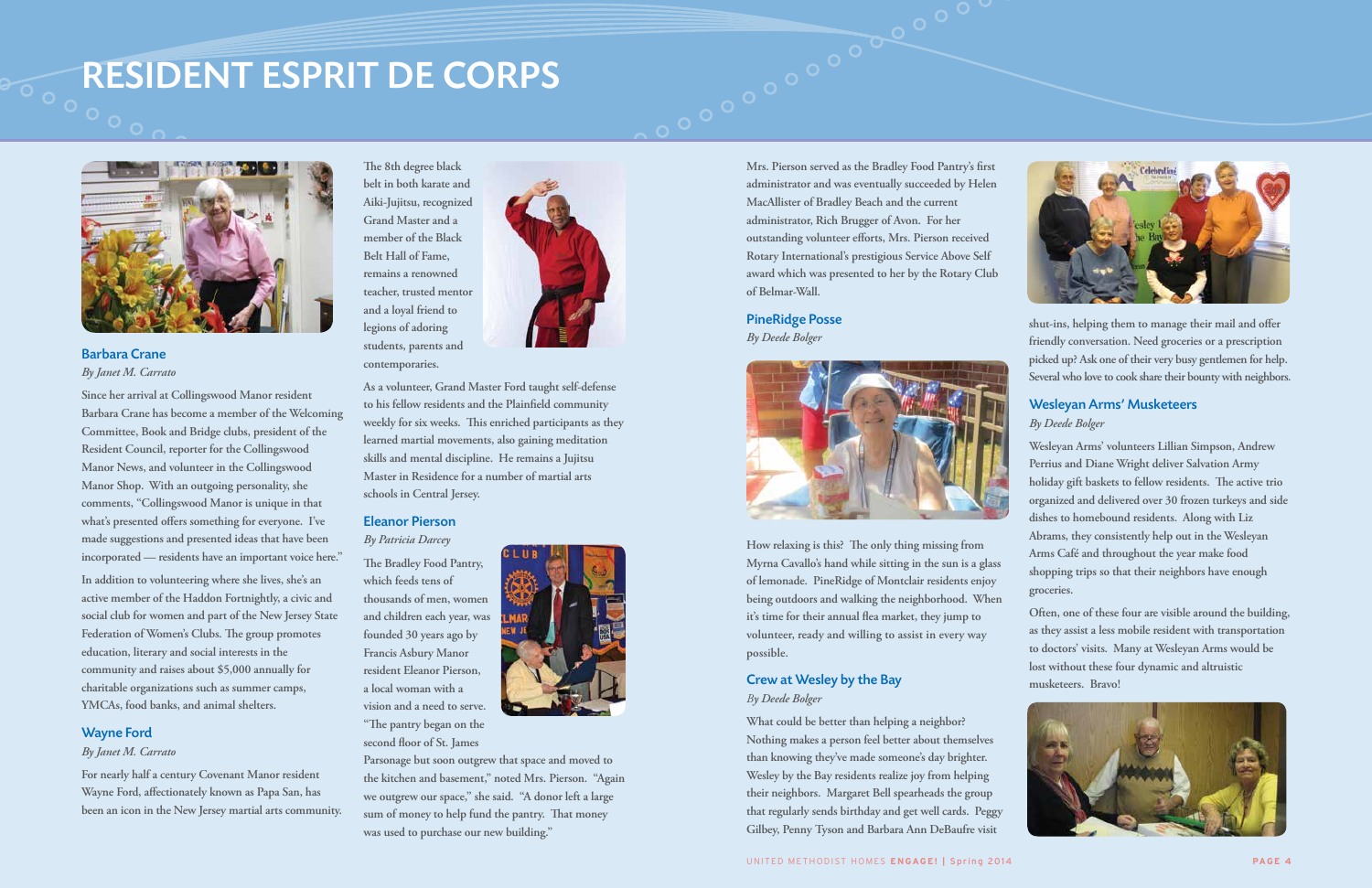**Mrs. Pierson served as the Bradley Food Pantry's first administrator and was eventually succeeded by Helen MacAllister of Bradley Beach and the current administrator, Rich Brugger of Avon. For her outstanding volunteer efforts, Mrs. Pierson received Rotary International's prestigious Service Above Self award which was presented to her by the Rotary Club of Belmar-Wall.**

PineRidge Posse *By Deede Bolger*



**How relaxing is this? The only thing missing from Myrna Cavallo's hand while sitting in the sun is a glass of lemonade. PineRidge of Montclair residents enjoy being outdoors and walking the neighborhood. When it's time for their annual flea market, they jump to volunteer, ready and willing to assist in every way possible.**

#### Crew at Wesley by the Bay *By Deede Bolger*

**What could be better than helping a neighbor? Nothing makes a person feel better about themselves than knowing they've made someone's day brighter. Wesley by the Bay residents realize joy from helping their neighbors. Margaret Bell spearheads the group that regularly sends birthday and get well cards. Peggy Gilbey, Penny Tyson and Barbara Ann DeBaufre visit** 

**shut-ins, helping them to manage their mail and offer friendly conversation. Need groceries or a prescription picked up? Ask one of their very busy gentlemen for help. Several who love to cook share their bounty with neighbors.**

#### Wesleyan Arms' Musketeers

#### *By Deede Bolger*

**Wesleyan Arms' volunteers Lillian Simpson, Andrew Perrius and Diane Wright deliver Salvation Army holiday gift baskets to fellow residents. The active trio organized and delivered over 30 frozen turkeys and side dishes to homebound residents. Along with Liz Abrams, they consistently help out in the Wesleyan Arms Café and throughout the year make food shopping trips so that their neighbors have enough groceries.**

**Often, one of these four are visible around the building, as they assist a less mobile resident with transportation to doctors' visits. Many at Wesleyan Arms would be lost without these four dynamic and altruistic musketeers. Bravo!**





Barbara Crane *By Janet M. Carrato*

**Since her arrival at Collingswood Manor resident Barbara Crane has become a member of the Welcoming Committee, Book and Bridge clubs, president of the Resident Council, reporter for the Collingswood Manor News, and volunteer in the Collingswood Manor Shop. With an outgoing personality, she comments, "Collingswood Manor is unique in that what's presented offers something for everyone. I've made suggestions and presented ideas that have been incorporated — residents have an important voice here."**

**In addition to volunteering where she lives, she's an active member of the Haddon Fortnightly, a civic and social club for women and part of the New Jersey State Federation of Women's Clubs. The group promotes education, literary and social interests in the community and raises about \$5,000 annually for charitable organizations such as summer camps, YMCAs, food banks, and animal shelters.**

#### Wayne Ford

#### *By Janet M. Carrato*

**For nearly half a century Covenant Manor resident Wayne Ford, affectionately known as Papa San, has been an icon in the New Jersey martial arts community.** 

**The 8th degree black belt in both karate and Aiki-Jujitsu, recognized Grand Master and a member of the Black Belt Hall of Fame, remains a renowned teacher, trusted mentor and a loyal friend to legions of adoring students, parents and contemporaries.**



**As a volunteer, Grand Master Ford taught self-defense to his fellow residents and the Plainfield community weekly for six weeks. This enriched participants as they learned martial movements, also gaining meditation skills and mental discipline. He remains a Jujitsu Master in Residence for a number of martial arts schools in Central Jersey.**

#### Eleanor Pierson

*By Patricia Darcey*

**The Bradley Food Pantry, which feeds tens of thousands of men, women and children each year, was founded 30 years ago by Francis Asbury Manor resident Eleanor Pierson, a local woman with a vision and a need to serve. "The pantry began on the second floor of St. James** 



**Parsonage but soon outgrew that space and moved to the kitchen and basement," noted Mrs. Pierson. "Again we outgrew our space," she said. "A donor left a large sum of money to help fund the pantry. That money was used to purchase our new building."**

# RESIDENT ESPRIT DE CORPS

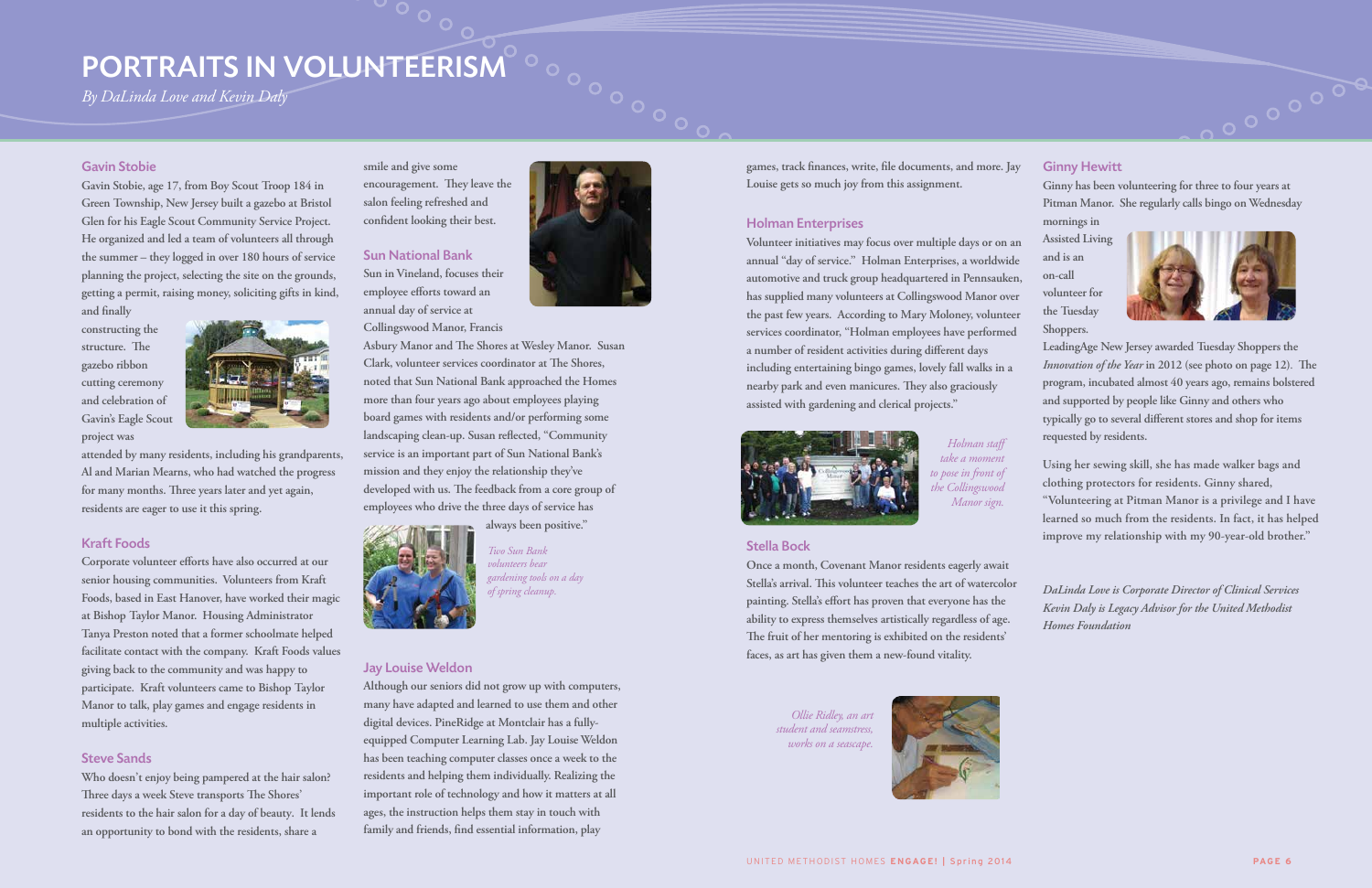**games, track finances, write, file documents, and more. Jay Louise gets so much joy from this assignment.** 

#### Holman Enterprises

**Volunteer initiatives may focus over multiple days or on an annual "day of service." Holman Enterprises, a worldwide automotive and truck group headquartered in Pennsauken, has supplied many volunteers at Collingswood Manor over the past few years. According to Mary Moloney, volunteer services coordinator, "Holman employees have performed a number of resident activities during different days including entertaining bingo games, lovely fall walks in a nearby park and even manicures. They also graciously assisted with gardening and clerical projects."** 



#### Stella Bock

**Once a month, Covenant Manor residents eagerly await Stella's arrival. This volunteer teaches the art of watercolor painting. Stella's effort has proven that everyone has the ability to express themselves artistically regardless of age. The fruit of her mentoring is exhibited on the residents' faces, as art has given them a new-found vitality.**

#### Ginny Hewitt

**Ginny has been volunteering for three to four years at Pitman Manor. She regularly calls bingo on Wednesday** 

**mornings in Assisted Living and is an on-call volunteer for the Tuesday Shoppers.** 



**LeadingAge New Jersey awarded Tuesday Shoppers the**  *Innovation of the Year* **in 2012 (see photo on page 12)**. **The program, incubated almost 40 years ago, remains bolstered and supported by people like Ginny and others who typically go to several different stores and shop for items requested by residents.**

**Using her sewing skill, she has made walker bags and clothing protectors for residents. Ginny shared, "Volunteering at Pitman Manor is a privilege and I have learned so much from the residents. In fact, it has helped improve my relationship with my 90-year-old brother."**

*DaLinda Love is Corporate Director of Clinical Services Kevin Daly is Legacy Advisor for the United Methodist Homes Foundation*

#### Gavin Stobie

**Gavin Stobie, age 17, from Boy Scout Troop 184 in Green Township, New Jersey built a gazebo at Bristol Glen for his Eagle Scout Community Service Project. He organized and led a team of volunteers all through the summer – they logged in over 180 hours of service planning the project, selecting the site on the grounds, getting a permit, raising money, soliciting gifts in kind,** 

**and finally constructing the structure. The gazebo ribbon cutting ceremony and celebration of Gavin's Eagle Scout project was** 



**attended by many residents, including his grandparents, Al and Marian Mearns, who had watched the progress for many months. Three years later and yet again, residents are eager to use it this spring.**

#### Kraft Foods

**Corporate volunteer efforts have also occurred at our senior housing communities. Volunteers from Kraft Foods, based in East Hanover, have worked their magic at Bishop Taylor Manor. Housing Administrator Tanya Preston noted that a former schoolmate helped facilitate contact with the company. Kraft Foods values giving back to the community and was happy to participate. Kraft volunteers came to Bishop Taylor Manor to talk, play games and engage residents in multiple activities.**

#### Steve Sands

**Who doesn't enjoy being pampered at the hair salon? Three days a week Steve transports The Shores' residents to the hair salon for a day of beauty. It lends an opportunity to bond with the residents, share a** 

**smile and give some encouragement. They leave the salon feeling refreshed and confident looking their best.**

#### Sun National Bank

**Sun in Vineland, focuses their employee efforts toward an annual day of service at Collingswood Manor, Francis** 



 $\overset{\circ}{\circ}$ 

**Asbury Manor and The Shores at Wesley Manor. Susan Clark, volunteer services coordinator at The Shores, noted that Sun National Bank approached the Homes more than four years ago about employees playing board games with residents and/or performing some landscaping clean-up. Susan reflected, "Community service is an important part of Sun National Bank's mission and they enjoy the relationship they've developed with us. The feedback from a core group of employees who drive the three days of service has** 



**always been positive."**

#### Jay Louise Weldon

**Although our seniors did not grow up with computers, many have adapted and learned to use them and other digital devices. PineRidge at Montclair has a fullyequipped Computer Learning Lab. Jay Louise Weldon has been teaching computer classes once a week to the residents and helping them individually. Realizing the important role of technology and how it matters at all ages, the instruction helps them stay in touch with family and friends, find essential information, play** 

# PORTRAITS IN VOLUNTEERISM

*By DaLinda Love and Kevin Daly*

*Ollie Ridley, an art student and seamstress, works on a seascape.*



*Holman staff take a moment to pose in front of the Collingswood Manor sign.*

*Two Sun Bank volunteers bear gardening tools on a day of spring cleanup.*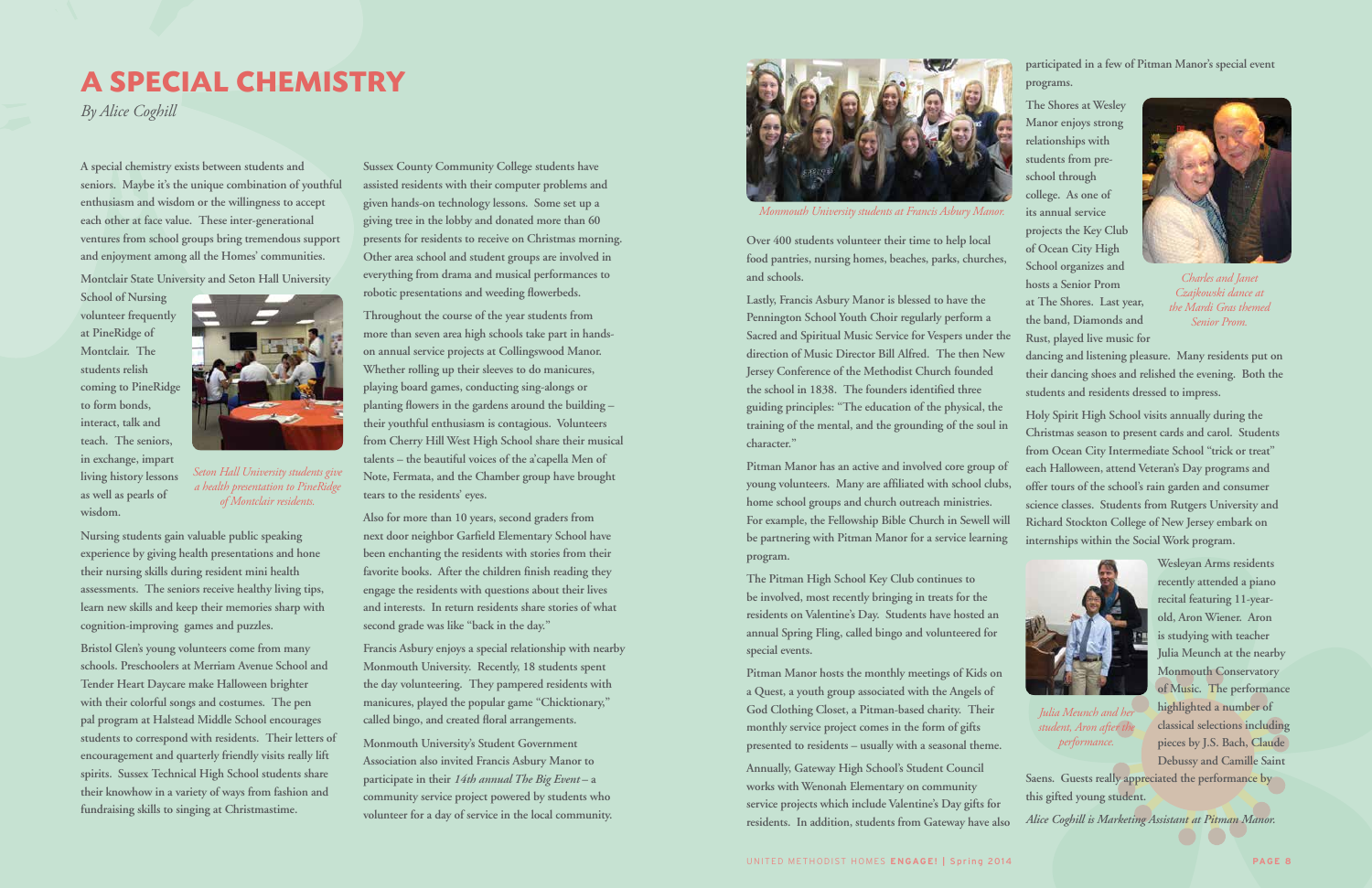**Over 400 students volunteer their time to help local food pantries, nursing homes, beaches, parks, churches, and schools.**

**Lastly, Francis Asbury Manor is blessed to have the Pennington School Youth Choir regularly perform a Sacred and Spiritual Music Service for Vespers under the direction of Music Director Bill Alfred. The then New Jersey Conference of the Methodist Church founded the school in 1838. The founders identified three guiding principles: "The education of the physical, the training of the mental, and the grounding of the soul in character."**

**Pitman Manor has an active and involved core group of young volunteers. Many are affiliated with school clubs, home school groups and church outreach ministries. For example, the Fellowship Bible Church in Sewell will be partnering with Pitman Manor for a service learning program.**

**The Pitman High School Key Club continues to be involved, most recently bringing in treats for the residents on Valentine's Day. Students have hosted an annual Spring Fling, called bingo and volunteered for special events.**

**Pitman Manor hosts the monthly meetings of Kids on a Quest, a youth group associated with the Angels of God Clothing Closet, a Pitman-based charity. Their monthly service project comes in the form of gifts presented to residents – usually with a seasonal theme.** **participated in a few of Pitman Manor's special event programs.**

**The Shores at Wesley Manor enjoys strong relationships with students from preschool through college. As one of its annual service projects the Key Club of Ocean City High School organizes and hosts a Senior Prom at The Shores. Last year,** 

**the band, Diamonds and Rust, played live music for** 

**dancing and listening pleasure. Many residents put on their dancing shoes and relished the evening. Both the students and residents dressed to impress.**

**Annually, Gateway High School's Student Council works with Wenonah Elementary on community service projects which include Valentine's Day gifts for residents. In addition, students from Gateway have also Saens. Guests really appreciated the performance by this gifted young student.** *Alice Coghill is Marketing Assistant at Pitman Manor.*

**Holy Spirit High School visits annually during the Christmas season to present cards and carol. Students from Ocean City Intermediate School "trick or treat" each Halloween, attend Veteran's Day programs and offer tours of the school's rain garden and consumer science classes. Students from Rutgers University and Richard Stockton College of New Jersey embark on internships within the Social Work program.**

> **Wesleyan Arms residents recently attended a piano recital featuring 11-yearold, Aron Wiener. Aron is studying with teacher Julia Meunch at the nearby Monmouth Conservatory of Music. The performance highlighted a number of classical selections including pieces by J.S. Bach, Claude Debussy and Camille Saint**

**A special chemistry exists between students and seniors. Maybe it's the unique combination of youthful enthusiasm and wisdom or the willingness to accept each other at face value. These inter-generational ventures from school groups bring tremendous support and enjoyment among all the Homes' communities.**

**Montclair State University and Seton Hall University** 

**School of Nursing volunteer frequently at PineRidge of Montclair. The students relish coming to PineRidge to form bonds, interact, talk and teach. The seniors, in exchange, impart living history lessons as well as pearls of wisdom.**

**Nursing students gain valuable public speaking experience by giving health presentations and hone their nursing skills during resident mini health assessments. The seniors receive healthy living tips, learn new skills and keep their memories sharp with cognition-improving games and puzzles.**

**Bristol Glen's young volunteers come from many schools. Preschoolers at Merriam Avenue School and Tender Heart Daycare make Halloween brighter with their colorful songs and costumes. The pen pal program at Halstead Middle School encourages students to correspond with residents. Their letters of encouragement and quarterly friendly visits really lift spirits. Sussex Technical High School students share their knowhow in a variety of ways from fashion and fundraising skills to singing at Christmastime.**

**Sussex County Community College students have assisted residents with their computer problems and given hands-on technology lessons. Some set up a giving tree in the lobby and donated more than 60 presents for residents to receive on Christmas morning. Other area school and student groups are involved in everything from drama and musical performances to robotic presentations and weeding flowerbeds.**

**Throughout the course of the year students from more than seven area high schools take part in handson annual service projects at Collingswood Manor. Whether rolling up their sleeves to do manicures, playing board games, conducting sing-alongs or planting flowers in the gardens around the building – their youthful enthusiasm is contagious. Volunteers from Cherry Hill West High School share their musical talents – the beautiful voices of the a'capella Men of Note, Fermata, and the Chamber group have brought tears to the residents' eyes.**

**Also for more than 10 years, second graders from next door neighbor Garfield Elementary School have been enchanting the residents with stories from their favorite books. After the children finish reading they engage the residents with questions about their lives and interests. In return residents share stories of what second grade was like "back in the day."**

**Francis Asbury enjoys a special relationship with nearby Monmouth University. Recently, 18 students spent the day volunteering. They pampered residents with manicures, played the popular game "Chicktionary," called bingo, and created floral arrangements.**

**Monmouth University's Student Government Association also invited Francis Asbury Manor to participate in their** *14th annual The Big Event* **– a community service project powered by students who volunteer for a day of service in the local community.** 

# **A SPECIAL CHEMISTRY**

*By Alice Coghill*



*Seton Hall University students give a health presentation to PineRidge of Montclair residents.*



*Charles and Janet Czajkowski dance at the Mardi Gras themed Senior Prom.*



*Monmouth University students at Francis Asbury Manor.*



*Julia Meunch and her student, Aron after the performance.*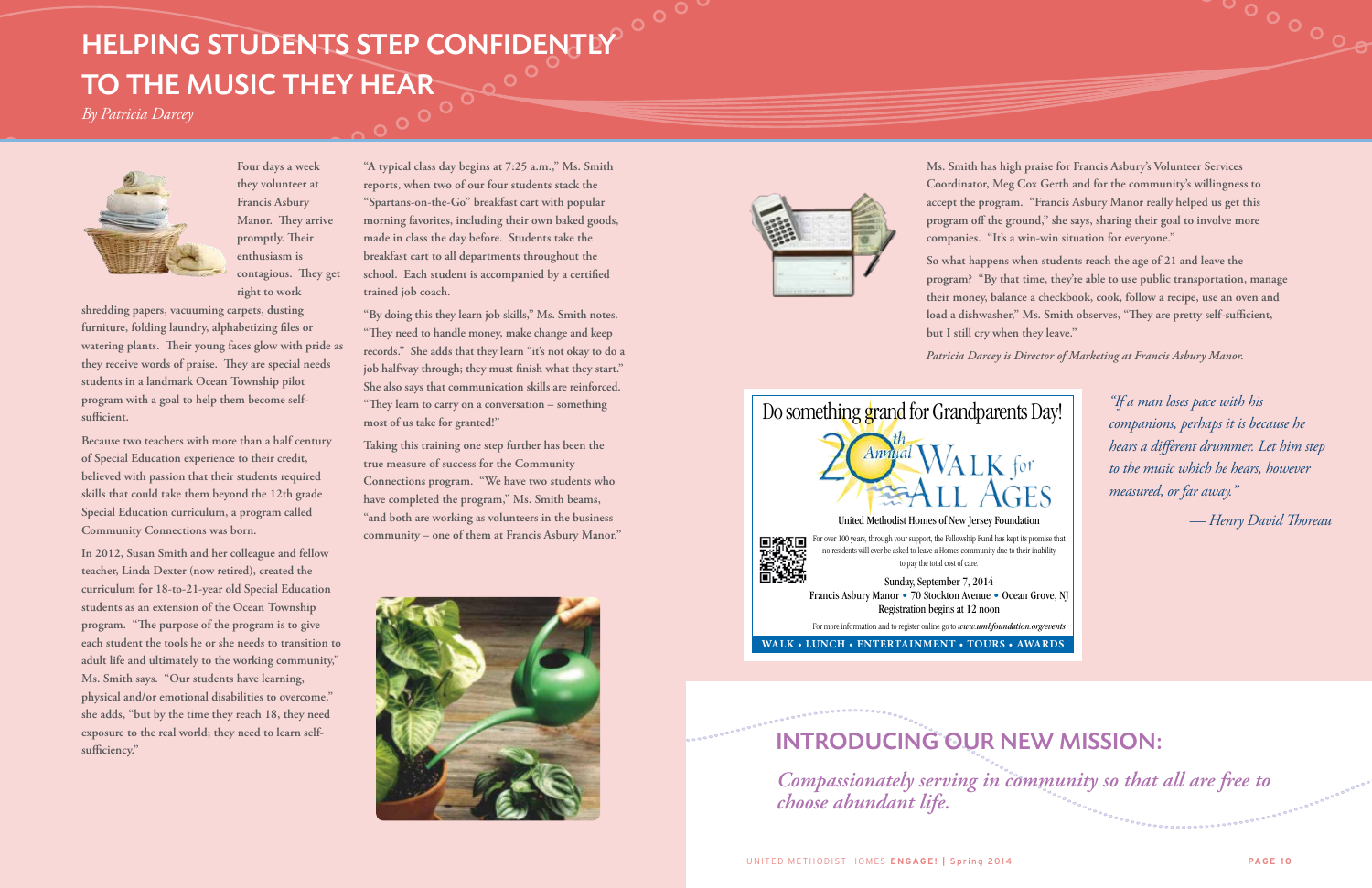**Ms. Smith has high praise for Francis Asbury's Volunteer Services Coordinator, Meg Cox Gerth and for the community's willingness to accept the program. "Francis Asbury Manor really helped us get this program off the ground," she says, sharing their goal to involve more companies. "It's a win-win situation for everyone."**

**So what happens when students reach the age of 21 and leave the program? "By that time, they're able to use public transportation, manage their money, balance a checkbook, cook, follow a recipe, use an oven and load a dishwasher," Ms. Smith observes, "They are pretty self-sufficient, but I still cry when they leave."**

 *Patricia Darcey is Director of Marketing at Francis Asbury Manor.*

**Four days a week they volunteer at Francis Asbury Manor. They arrive promptly. Their enthusiasm is contagious. They get right to work** 

**shredding papers, vacuuming carpets, dusting furniture, folding laundry, alphabetizing files or watering plants. Their young faces glow with pride as they receive words of praise. They are special needs students in a landmark Ocean Township pilot program with a goal to help them become selfsufficient.**

**Because two teachers with more than a half century of Special Education experience to their credit, believed with passion that their students required skills that could take them beyond the 12th grade Special Education curriculum, a program called Community Connections was born.** 

# HELPING STUDENTS STEP CONFIDENTLY<br>TO THE MUSIC THEY HEAR TO THE MUSIC THEY HEAR

**In 2012, Susan Smith and her colleague and fellow teacher, Linda Dexter (now retired), created the curriculum for 18-to-21-year old Special Education students as an extension of the Ocean Township program. "The purpose of the program is to give each student the tools he or she needs to transition to adult life and ultimately to the working community," Ms. Smith says. "Our students have learning, physical and/or emotional disabilities to overcome," she adds, "but by the time they reach 18, they need exposure to the real world; they need to learn selfsufficiency."**

**"A typical class day begins at 7:25 a.m.," Ms. Smith reports, when two of our four students stack the "Spartans-on-the-Go" breakfast cart with popular morning favorites, including their own baked goods, made in class the day before. Students take the breakfast cart to all departments throughout the school. Each student is accompanied by a certified trained job coach.**

**"By doing this they learn job skills," Ms. Smith notes. "They need to handle money, make change and keep records." She adds that they learn "it's not okay to do a job halfway through; they must finish what they start." She also says that communication skills are reinforced. "They learn to carry on a conversation – something most of us take for granted!"**

**Taking this training one step further has been the true measure of success for the Community Connections program. "We have two students who have completed the program," Ms. Smith beams, "and both are working as volunteers in the business community – one of them at Francis Asbury Manor."**





*By Patricia Darcey*



United Methodist Homes of New Jersey Foundation

For over 100 years, through your support, the Fellowship Fund has kept its promise that no residents will ever be asked to leave a Homes community due to their inability to pay the total cost of care.

Sunday, September 7, 2014 Francis Asbury Manor • 70 Stockton Avenue • Ocean Grove, NJ Registration begins at 12 noon

For more information and to register online go to *www.umhfoundation.org/events*

**WALK • LUNCH • ENTERTAINMENT • TOURS • AWARDS**



*companions, perhaps it is because he hears a different drummer. Let him step to the music which he hears, however measured, or far away."*

*— Henry David Thoreau*



*Compassionately serving in community so that all are free to choose abundant life.*

# $\sim$

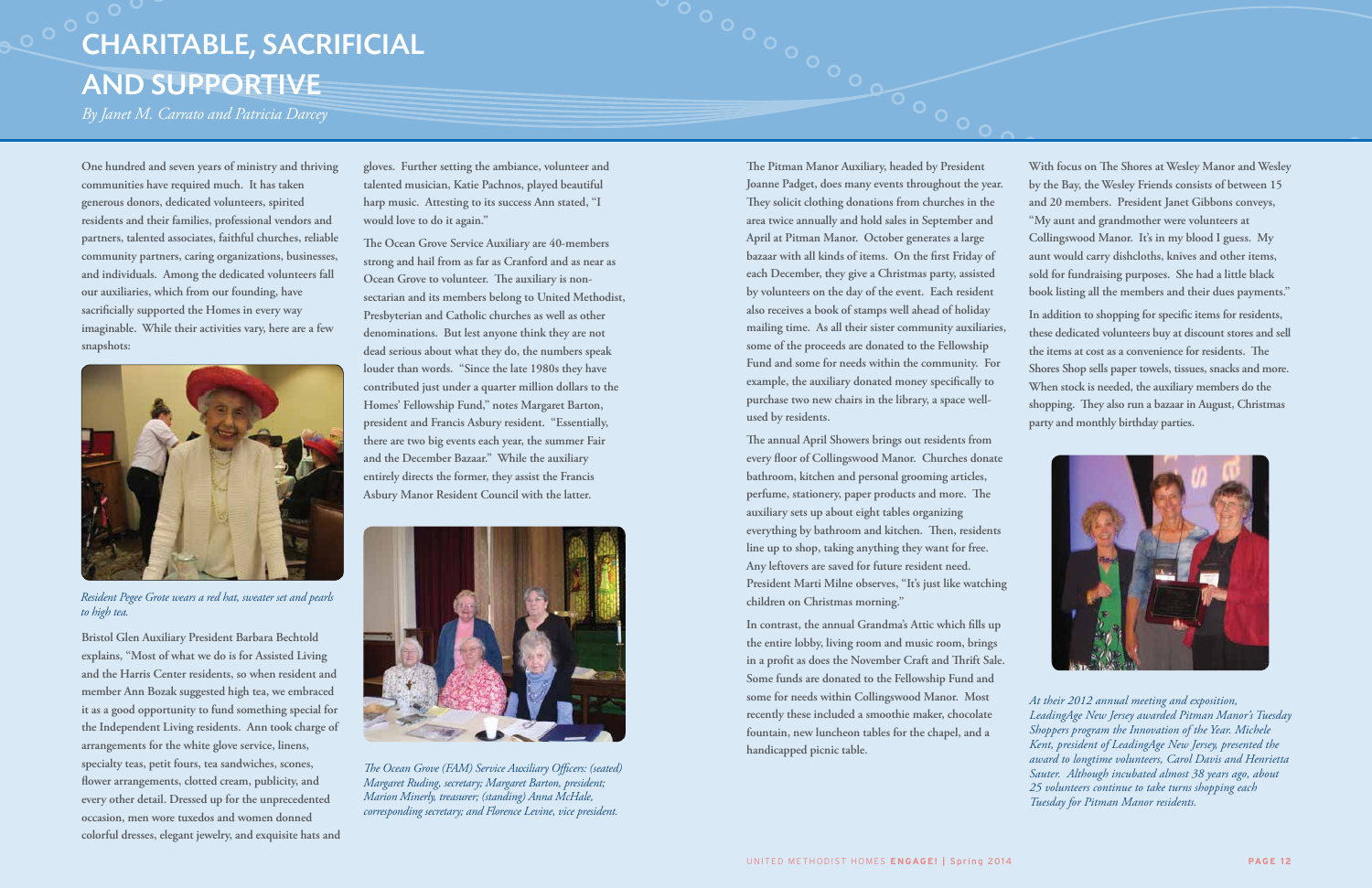**The Pitman Manor Auxiliary, headed by President Joanne Padget, does many events throughout the year. They solicit clothing donations from churches in the area twice annually and hold sales in September and April at Pitman Manor. October generates a large bazaar with all kinds of items. On the first Friday of each December, they give a Christmas party, assisted by volunteers on the day of the event. Each resident also receives a book of stamps well ahead of holiday mailing time. As all their sister community auxiliaries, some of the proceeds are donated to the Fellowship Fund and some for needs within the community. For example, the auxiliary donated money specifically to purchase two new chairs in the library, a space wellused by residents.**

**The annual April Showers brings out residents from every floor of Collingswood Manor. Churches donate bathroom, kitchen and personal grooming articles, perfume, stationery, paper products and more. The auxiliary sets up about eight tables organizing everything by bathroom and kitchen. Then, residents line up to shop, taking anything they want for free. Any leftovers are saved for future resident need. President Marti Milne observes, "It's just like watching children on Christmas morning."**

**In contrast, the annual Grandma's Attic which fills up the entire lobby, living room and music room, brings in a profit as does the November Craft and Thrift Sale. Some funds are donated to the Fellowship Fund and some for needs within Collingswood Manor. Most recently these included a smoothie maker, chocolate fountain, new luncheon tables for the chapel, and a handicapped picnic table.**

**With focus on The Shores at Wesley Manor and Wesley by the Bay, the Wesley Friends consists of between 15 and 20 members. President Janet Gibbons conveys, "My aunt and grandmother were volunteers at Collingswood Manor. It's in my blood I guess. My aunt would carry dishcloths, knives and other items, sold for fundraising purposes. She had a little black book listing all the members and their dues payments."**

**In addition to shopping for specific items for residents, these dedicated volunteers buy at discount stores and sell the items at cost as a convenience for residents. The Shores Shop sells paper towels, tissues, snacks and more. When stock is needed, the auxiliary members do the shopping. They also run a bazaar in August, Christmas party and monthly birthday parties.**



**One hundred and seven years of ministry and thriving communities have required much. It has taken generous donors, dedicated volunteers, spirited residents and their families, professional vendors and partners, talented associates, faithful churches, reliable community partners, caring organizations, businesses, and individuals. Among the dedicated volunteers fall our auxiliaries, which from our founding, have sacrificially supported the Homes in every way imaginable. While their activities vary, here are a few snapshots:**

**Bristol Glen Auxiliary President Barbara Bechtold explains, "Most of what we do is for Assisted Living and the Harris Center residents, so when resident and member Ann Bozak suggested high tea, we embraced it as a good opportunity to fund something special for the Independent Living residents. Ann took charge of arrangements for the white glove service, linens, specialty teas, petit fours, tea sandwiches, scones, flower arrangements, clotted cream, publicity, and every other detail. Dressed up for the unprecedented occasion, men wore tuxedos and women donned colorful dresses, elegant jewelry, and exquisite hats and** 

**gloves. Further setting the ambiance, volunteer and talented musician, Katie Pachnos, played beautiful harp music. Attesting to its success Ann stated, "I would love to do it again."**

**The Ocean Grove Service Auxiliary are 40-members strong and hail from as far as Cranford and as near as Ocean Grove to volunteer. The auxiliary is nonsectarian and its members belong to United Methodist, Presbyterian and Catholic churches as well as other denominations. But lest anyone think they are not dead serious about what they do, the numbers speak louder than words. "Since the late 1980s they have contributed just under a quarter million dollars to the Homes' Fellowship Fund," notes Margaret Barton, president and Francis Asbury resident. "Essentially, there are two big events each year, the summer Fair and the December Bazaar." While the auxiliary entirely directs the former, they assist the Francis Asbury Manor Resident Council with the latter.**

# CHARITABLE, SACRIFICIAL AND SUPPORTIVE

*By Janet M. Carrato and Patricia Darcey*



*Resident Pegee Grote wears a red hat, sweater set and pearls to high tea.*



*The Ocean Grove (FAM) Service Auxiliary Officers: (seated) Margaret Ruding, secretary; Margaret Barton, president; Marion Minerly, treasurer; (standing) Anna McHale, corresponding secretary; and Florence Levine, vice president.*

*At their 2012 annual meeting and exposition, LeadingAge New Jersey awarded Pitman Manor's Tuesday Shoppers program the Innovation of the Year. Michele Kent, president of LeadingAge New Jersey, presented the award to longtime volunteers, Carol Davis and Henrietta Sauter. Although incubated almost 38 years ago, about 25 volunteers continue to take turns shopping each Tuesday for Pitman Manor residents.*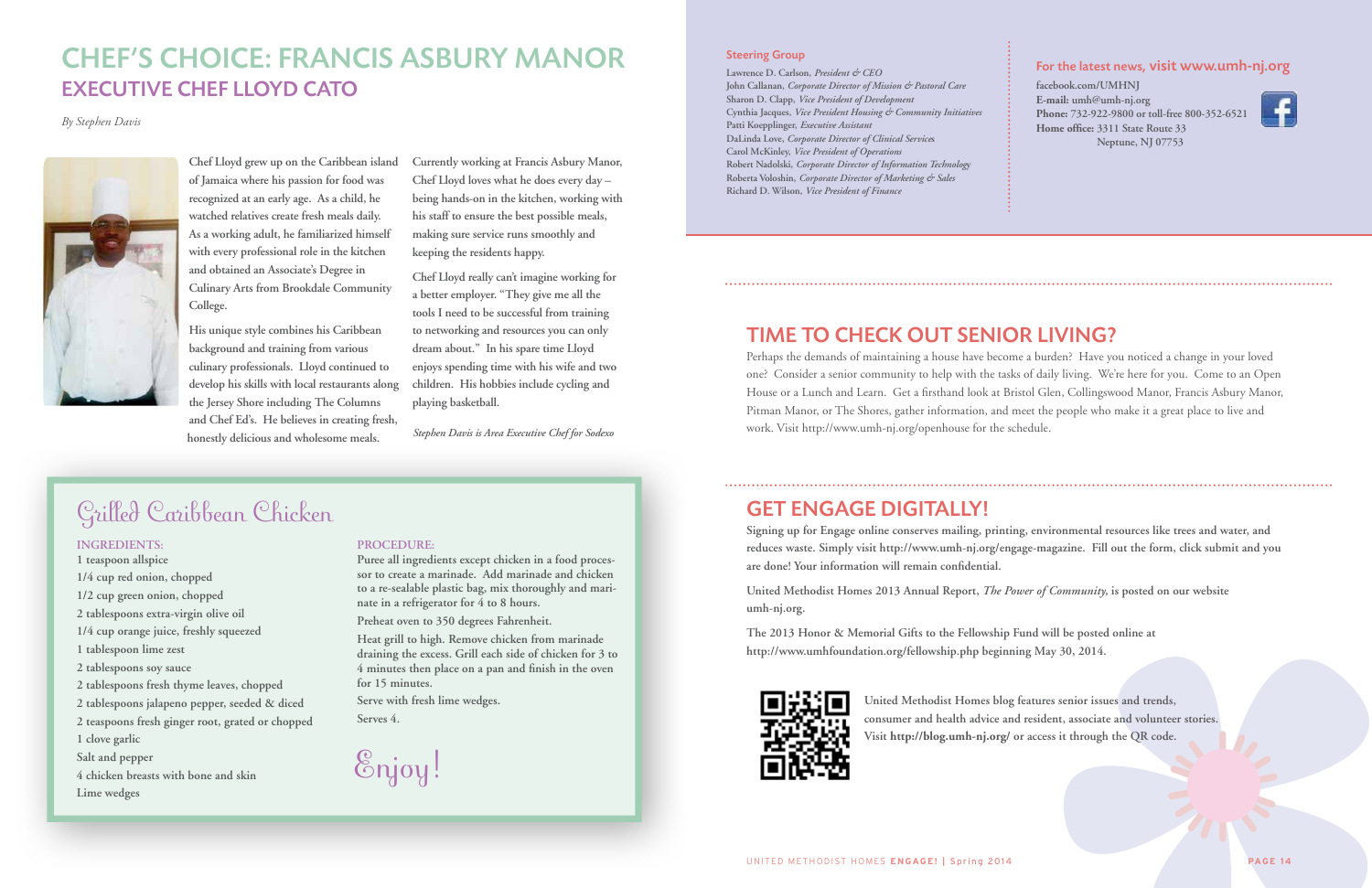#### **INGREDIENTS:**

**1 teaspoon allspice 1/4 cup red onion, chopped 1/2 cup green onion, chopped 2 tablespoons extra-virgin olive oil 1/4 cup orange juice, freshly squeezed 1 tablespoon lime zest 2 tablespoons soy sauce 2 tablespoons fresh thyme leaves, chopped 2 tablespoons jalapeno pepper, seeded & diced 2 teaspoons fresh ginger root, grated or chopped 1 clove garlic Salt and pepper 4 chicken breasts with bone and skin Lime wedges**

#### **PROCEDURE:**

**Puree all ingredients except chicken in a food processor to create a marinade. Add marinade and chicken to a re-sealable plastic bag, mix thoroughly and marinate in a refrigerator for 4 to 8 hours.**

**Preheat oven to 350 degrees Fahrenheit.**

**Heat grill to high. Remove chicken from marinade draining the excess. Grill each side of chicken for 3 to 4 minutes then place on a pan and finish in the oven for 15 minutes.**

**Serve with fresh lime wedges. Serves 4.**

# CHEF'S CHOICE: FRANCIS ASBURY MANOR EXECUTIVE CHEF LLOYD CATO

*By Stephen Davis*



# Grilled Caribbean Chicken

#### For the latest news, visit www.umh-nj.org

**facebook.com/UMHNJ E-mail: umh@umh-nj.org Phone: 732-922-9800 or toll-free 800-352-6521 Home office: 3311 State Route 33 Neptune, NJ 07753**



Enjoy!

#### Steering Group

**Lawrence D. Carlson,** *President & CEO* **John Callanan,** *Corporate Director of Mission & Pastoral Care* **Sharon D. Clapp,** *Vice President of Development* **Cynthia Jacques,** *Vice President Housing & Community Initiatives* **Patti Koepplinger,** *Executive Assistant* **DaLinda Love,** *Corporate Director of Clinical Service***s Carol McKinley,** *Vice President of Operations* **Robert Nadolski,** *Corporate Director of Information Technolog***y Roberta Voloshin,** *Corporate Director of Marketing & Sales* **Richard D. Wilson,** *Vice President of Finance*

**Chef Lloyd grew up on the Caribbean island of Jamaica where his passion for food was recognized at an early age. As a child, he watched relatives create fresh meals daily. As a working adult, he familiarized himself with every professional role in the kitchen and obtained an Associate's Degree in Culinary Arts from Brookdale Community College.**

**His unique style combines his Caribbean background and training from various culinary professionals. Lloyd continued to develop his skills with local restaurants along the Jersey Shore including The Columns and Chef Ed's. He believes in creating fresh, honestly delicious and wholesome meals.** 

**Currently working at Francis Asbury Manor, Chef Lloyd loves what he does every day – being hands-on in the kitchen, working with his staff to ensure the best possible meals, making sure service runs smoothly and keeping the residents happy.**

**Chef Lloyd really can't imagine working for a better employer. "They give me all the tools I need to be successful from training to networking and resources you can only dream about." In his spare time Lloyd enjoys spending time with his wife and two children. His hobbies include cycling and playing basketball.**

*Stephen Davis is Area Executive Chef for Sodexo*

## TIME TO CHECK OUT SENIOR LIVING?

Perhaps the demands of maintaining a house have become a burden? Have you noticed a change in your loved one? Consider a senior community to help with the tasks of daily living. We're here for you. Come to an Open House or a Lunch and Learn. Get a firsthand look at Bristol Glen, Collingswood Manor, Francis Asbury Manor, Pitman Manor, or The Shores, gather information, and meet the people who make it a great place to live and work. Visit http://www.umh-nj.org/openhouse for the schedule.

### GET ENGAGE DIGITALLY!

**Signing up for Engage online conserves mailing, printing, environmental resources like trees and water, and reduces waste. Simply visit http://www.umh-nj.org/engage-magazine. Fill out the form, click submit and you are done! Your information will remain confidential.**

**United Methodist Homes 2013 Annual Report,** *The Power of Community,* **is posted on our website umh-nj.org.**

**The 2013 Honor & Memorial Gifts to the Fellowship Fund will be posted online at http://www.umhfoundation.org/fellowship.php beginning May 30, 2014.**



**United Methodist Homes blog features senior issues and trends, consumer and health advice and resident, associate and volunteer stories. Visit http://blog.umh-nj.org/ or access it through the QR code.**